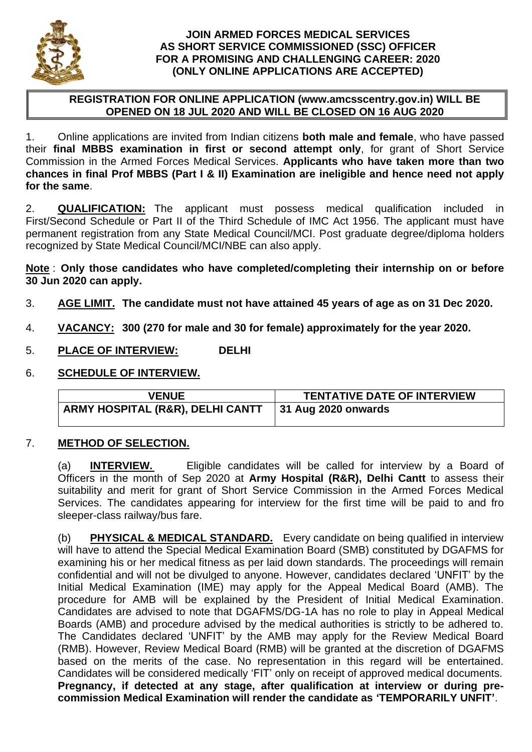

### **JOIN ARMED FORCES MEDICAL SERVICES AS SHORT SERVICE COMMISSIONED (SSC) OFFICER FOR A PROMISING AND CHALLENGING CAREER: 2020 (ONLY ONLINE APPLICATIONS ARE ACCEPTED)**

## **REGISTRATION FOR ONLINE APPLICATION (www.amcsscentry.gov.in) WILL BE OPENED ON 18 JUL 2020 AND WILL BE CLOSED ON 16 AUG 2020**

1. Online applications are invited from Indian citizens **both male and female**, who have passed their **final MBBS examination in first or second attempt only**, for grant of Short Service Commission in the Armed Forces Medical Services. **Applicants who have taken more than two chances in final Prof MBBS (Part I & II) Examination are ineligible and hence need not apply for the same**.

2. **QUALIFICATION:** The applicant must possess medical qualification included in First/Second Schedule or Part II of the Third Schedule of IMC Act 1956. The applicant must have permanent registration from any State Medical Council/MCI. Post graduate degree/diploma holders recognized by State Medical Council/MCI/NBE can also apply.

**Note** : **Only those candidates who have completed/completing their internship on or before 30 Jun 2020 can apply.**

- 3. **AGE LIMIT. The candidate must not have attained 45 years of age as on 31 Dec 2020.**
- 4. **VACANCY: 300 (270 for male and 30 for female) approximately for the year 2020.**
- 5. **PLACE OF INTERVIEW: DELHI**
- 6. **SCHEDULE OF INTERVIEW.**

| <b>VENUE</b>                     | <b>TENTATIVE DATE OF INTERVIEW</b> |
|----------------------------------|------------------------------------|
| ARMY HOSPITAL (R&R), DELHI CANTT | $\vert$ 31 Aug 2020 onwards        |

# 7. **METHOD OF SELECTION.**

(a) **INTERVIEW.** Eligible candidates will be called for interview by a Board of Officers in the month of Sep 2020 at **Army Hospital (R&R), Delhi Cantt** to assess their suitability and merit for grant of Short Service Commission in the Armed Forces Medical Services. The candidates appearing for interview for the first time will be paid to and fro sleeper-class railway/bus fare.

(b) **PHYSICAL & MEDICAL STANDARD.** Every candidate on being qualified in interview will have to attend the Special Medical Examination Board (SMB) constituted by DGAFMS for examining his or her medical fitness as per laid down standards. The proceedings will remain confidential and will not be divulged to anyone. However, candidates declared 'UNFIT' by the Initial Medical Examination (IME) may apply for the Appeal Medical Board (AMB). The procedure for AMB will be explained by the President of Initial Medical Examination. Candidates are advised to note that DGAFMS/DG-1A has no role to play in Appeal Medical Boards (AMB) and procedure advised by the medical authorities is strictly to be adhered to. The Candidates declared 'UNFIT' by the AMB may apply for the Review Medical Board (RMB). However, Review Medical Board (RMB) will be granted at the discretion of DGAFMS based on the merits of the case. No representation in this regard will be entertained. Candidates will be considered medically 'FIT' only on receipt of approved medical documents. **Pregnancy, if detected at any stage, after qualification at interview or during precommission Medical Examination will render the candidate as 'TEMPORARILY UNFIT'**.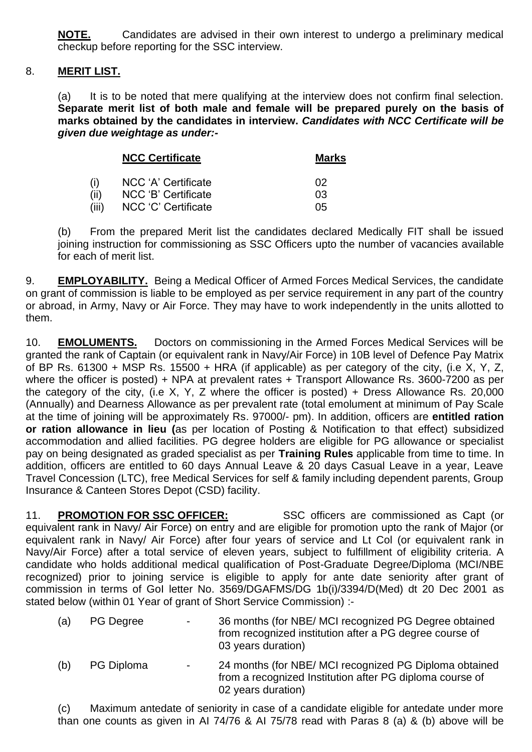**NOTE.** Candidates are advised in their own interest to undergo a preliminary medical checkup before reporting for the SSC interview.

## 8. **MERIT LIST.**

(a) It is to be noted that mere qualifying at the interview does not confirm final selection. **Separate merit list of both male and female will be prepared purely on the basis of marks obtained by the candidates in interview.** *Candidates with NCC Certificate will be given due weightage as under:-*

|       | <b>NCC Certificate</b> | <b>Marks</b> |  |
|-------|------------------------|--------------|--|
| (i)   | NCC 'A' Certificate    | 02           |  |
| (ii)  | NCC 'B' Certificate    | 03           |  |
| (iii) | NCC 'C' Certificate    | 05           |  |

(b) From the prepared Merit list the candidates declared Medically FIT shall be issued joining instruction for commissioning as SSC Officers upto the number of vacancies available for each of merit list.

9. **EMPLOYABILITY.** Being a Medical Officer of Armed Forces Medical Services, the candidate on grant of commission is liable to be employed as per service requirement in any part of the country or abroad, in Army, Navy or Air Force. They may have to work independently in the units allotted to them.

10. **EMOLUMENTS.** Doctors on commissioning in the Armed Forces Medical Services will be granted the rank of Captain (or equivalent rank in Navy/Air Force) in 10B level of Defence Pay Matrix of BP Rs. 61300 + MSP Rs. 15500 + HRA (if applicable) as per category of the city, (i.e X, Y, Z, where the officer is posted) + NPA at prevalent rates + Transport Allowance Rs. 3600-7200 as per the category of the city, (i.e X, Y, Z where the officer is posted) + Dress Allowance Rs. 20,000 (Annually) and Dearness Allowance as per prevalent rate (total emolument at minimum of Pay Scale at the time of joining will be approximately Rs. 97000/- pm). In addition, officers are **entitled ration or ration allowance in lieu (**as per location of Posting & Notification to that effect) subsidized accommodation and allied facilities. PG degree holders are eligible for PG allowance or specialist pay on being designated as graded specialist as per **Training Rules** applicable from time to time. In addition, officers are entitled to 60 days Annual Leave & 20 days Casual Leave in a year, Leave Travel Concession (LTC), free Medical Services for self & family including dependent parents, Group Insurance & Canteen Stores Depot (CSD) facility.

11. **PROMOTION FOR SSC OFFICER:** SSC officers are commissioned as Capt (or equivalent rank in Navy/ Air Force) on entry and are eligible for promotion upto the rank of Major (or equivalent rank in Navy/ Air Force) after four years of service and Lt Col (or equivalent rank in Navy/Air Force) after a total service of eleven years, subject to fulfillment of eligibility criteria. A candidate who holds additional medical qualification of Post-Graduate Degree/Diploma (MCI/NBE recognized) prior to joining service is eligible to apply for ante date seniority after grant of commission in terms of GoI letter No. 3569/DGAFMS/DG 1b(i)/3394/D(Med) dt 20 Dec 2001 as stated below (within 01 Year of grant of Short Service Commission) :-

| (a) | <b>PG Degree</b> | 36 months (for NBE/ MCI recognized PG Degree obtained   |
|-----|------------------|---------------------------------------------------------|
|     |                  | from recognized institution after a PG degree course of |
|     |                  | 03 years duration)                                      |

(b) PG Diploma - 24 months (for NBE/ MCI recognized PG Diploma obtained from a recognized Institution after PG diploma course of 02 years duration)

(c) Maximum antedate of seniority in case of a candidate eligible for antedate under more than one counts as given in AI 74/76 & AI 75/78 read with Paras 8 (a) & (b) above will be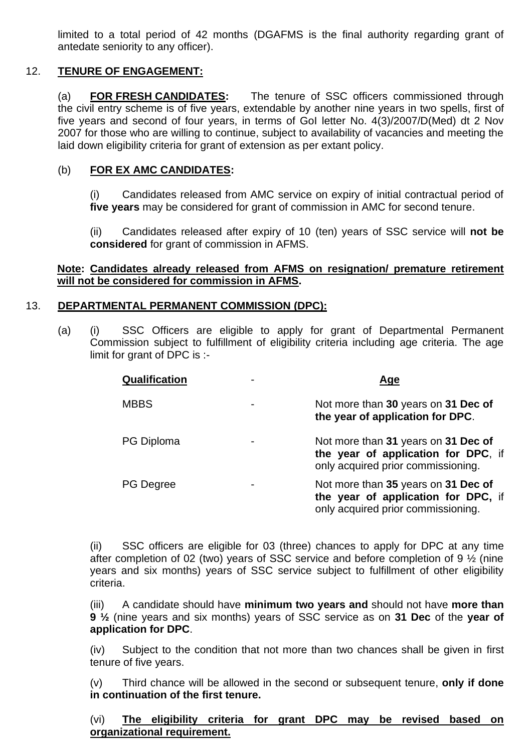limited to a total period of 42 months (DGAFMS is the final authority regarding grant of antedate seniority to any officer).

# 12. **TENURE OF ENGAGEMENT:**

(a) **FOR FRESH CANDIDATES:** The tenure of SSC officers commissioned through the civil entry scheme is of five years, extendable by another nine years in two spells, first of five years and second of four years, in terms of GoI letter No. 4(3)/2007/D(Med) dt 2 Nov 2007 for those who are willing to continue, subject to availability of vacancies and meeting the laid down eligibility criteria for grant of extension as per extant policy.

### (b) **FOR EX AMC CANDIDATES:**

(i) Candidates released from AMC service on expiry of initial contractual period of **five years** may be considered for grant of commission in AMC for second tenure.

(ii) Candidates released after expiry of 10 (ten) years of SSC service will **not be considered** for grant of commission in AFMS.

#### **Note: Candidates already released from AFMS on resignation/ premature retirement will not be considered for commission in AFMS.**

## 13. **DEPARTMENTAL PERMANENT COMMISSION (DPC):**

(a) (i) SSC Officers are eligible to apply for grant of Departmental Permanent Commission subject to fulfillment of eligibility criteria including age criteria. The age limit for grant of DPC is :-

| Qualification     | Age                                                                                                              |
|-------------------|------------------------------------------------------------------------------------------------------------------|
| <b>MBBS</b>       | Not more than 30 years on 31 Dec of<br>the year of application for DPC.                                          |
| <b>PG Diploma</b> | Not more than 31 years on 31 Dec of<br>the year of application for DPC, if<br>only acquired prior commissioning. |
| <b>PG Degree</b>  | Not more than 35 years on 31 Dec of<br>the year of application for DPC, if<br>only acquired prior commissioning. |

(ii) SSC officers are eligible for 03 (three) chances to apply for DPC at any time after completion of 02 (two) years of SSC service and before completion of 9 ½ (nine years and six months) years of SSC service subject to fulfillment of other eligibility criteria.

(iii) A candidate should have **minimum two years and** should not have **more than 9 ½** (nine years and six months) years of SSC service as on **31 Dec** of the **year of application for DPC**.

(iv) Subject to the condition that not more than two chances shall be given in first tenure of five years.

(v) Third chance will be allowed in the second or subsequent tenure, **only if done in continuation of the first tenure.**

(vi) **The eligibility criteria for grant DPC may be revised based on organizational requirement.**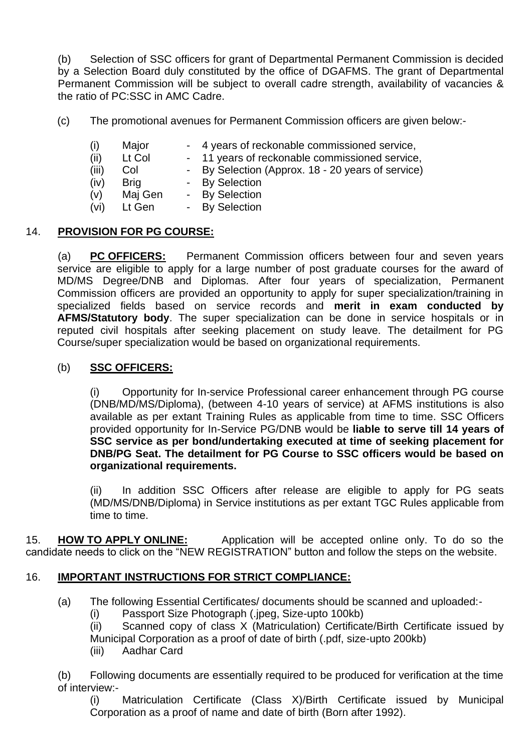(b) Selection of SSC officers for grant of Departmental Permanent Commission is decided by a Selection Board duly constituted by the office of DGAFMS. The grant of Departmental Permanent Commission will be subject to overall cadre strength, availability of vacancies & the ratio of PC:SSC in AMC Cadre.

(c) The promotional avenues for Permanent Commission officers are given below:-

- (i) Major 4 years of reckonable commissioned service,
- (ii) Lt Col 11 years of reckonable commissioned service,
- (iii) Col By Selection (Approx. 18 20 years of service)
- (iv) Brig By Selection
- (v) Maj Gen By Selection
- (vi) Lt Gen By Selection

## 14. **PROVISION FOR PG COURSE:**

(a) **PC OFFICERS:** Permanent Commission officers between four and seven years service are eligible to apply for a large number of post graduate courses for the award of MD/MS Degree/DNB and Diplomas. After four years of specialization, Permanent Commission officers are provided an opportunity to apply for super specialization/training in specialized fields based on service records and **merit in exam conducted by AFMS/Statutory body**. The super specialization can be done in service hospitals or in reputed civil hospitals after seeking placement on study leave. The detailment for PG Course/super specialization would be based on organizational requirements.

## (b) **SSC OFFICERS:**

(i) Opportunity for In-service Professional career enhancement through PG course (DNB/MD/MS/Diploma), (between 4-10 years of service) at AFMS institutions is also available as per extant Training Rules as applicable from time to time. SSC Officers provided opportunity for In-Service PG/DNB would be **liable to serve till 14 years of SSC service as per bond/undertaking executed at time of seeking placement for DNB/PG Seat. The detailment for PG Course to SSC officers would be based on organizational requirements.**

(ii) In addition SSC Officers after release are eligible to apply for PG seats (MD/MS/DNB/Diploma) in Service institutions as per extant TGC Rules applicable from time to time.

15. **HOW TO APPLY ONLINE:** Application will be accepted online only. To do so the candidate needs to click on the "NEW REGISTRATION" button and follow the steps on the website.

### 16. **IMPORTANT INSTRUCTIONS FOR STRICT COMPLIANCE:**

- (a) The following Essential Certificates/ documents should be scanned and uploaded:-
	- (i) Passport Size Photograph (.jpeg, Size-upto 100kb)

(ii) Scanned copy of class X (Matriculation) Certificate/Birth Certificate issued by Municipal Corporation as a proof of date of birth (.pdf, size-upto 200kb)

(iii) Aadhar Card

(b) Following documents are essentially required to be produced for verification at the time of interview:-

(i) Matriculation Certificate (Class X)/Birth Certificate issued by Municipal Corporation as a proof of name and date of birth (Born after 1992).